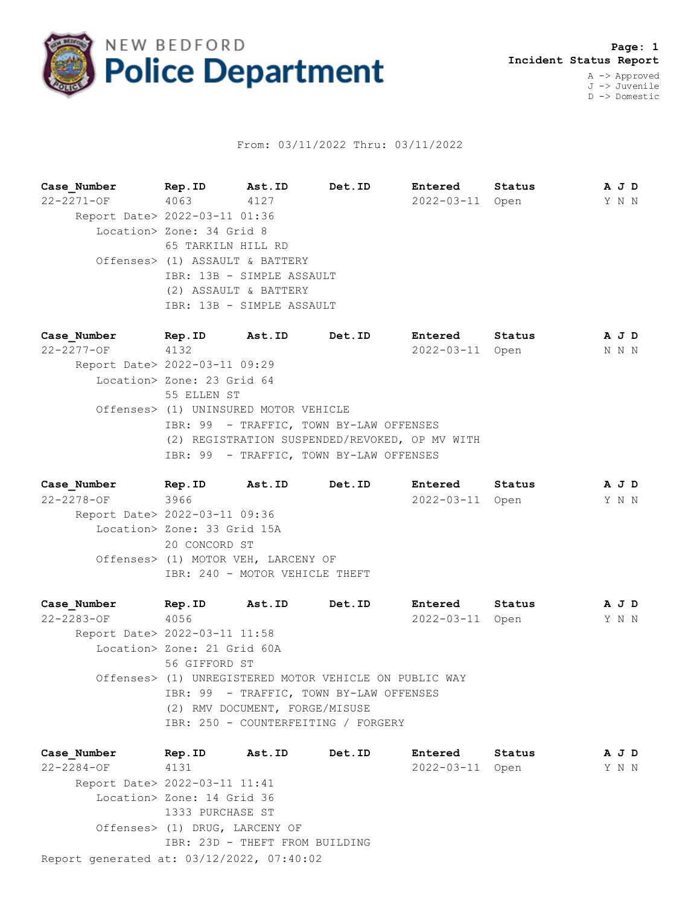

## From: 03/11/2022 Thru: 03/11/2022

**Case\_Number Rep.ID Ast.ID Det.ID Entered Status A J D** 22-2271-OF 4063 4127 2022-03-11 Open Y N N Report Date> 2022-03-11 01:36 Location> Zone: 34 Grid 8 65 TARKILN HILL RD Offenses> (1) ASSAULT & BATTERY IBR: 13B - SIMPLE ASSAULT (2) ASSAULT & BATTERY IBR: 13B - SIMPLE ASSAULT

**Case\_Number Rep.ID Ast.ID Det.ID Entered Status A J D** 22-2277-OF 4132 2022-03-11 Open N N N Report Date> 2022-03-11 09:29 Location> Zone: 23 Grid 64 55 ELLEN ST Offenses> (1) UNINSURED MOTOR VEHICLE IBR: 99 - TRAFFIC, TOWN BY-LAW OFFENSES (2) REGISTRATION SUSPENDED/REVOKED, OP MV WITH IBR: 99 - TRAFFIC, TOWN BY-LAW OFFENSES

**Case\_Number Rep.ID Ast.ID Det.ID Entered Status A J D** 22-2278-OF 3966 2022-03-11 Open Y N N Report Date> 2022-03-11 09:36 Location> Zone: 33 Grid 15A 20 CONCORD ST Offenses> (1) MOTOR VEH, LARCENY OF IBR: 240 - MOTOR VEHICLE THEFT

**Case\_Number Rep.ID Ast.ID Det.ID Entered Status A J D** 22-2283-OF 4056 2022-03-11 Open Y N N Report Date> 2022-03-11 11:58 Location> Zone: 21 Grid 60A 56 GIFFORD ST Offenses> (1) UNREGISTERED MOTOR VEHICLE ON PUBLIC WAY IBR: 99 - TRAFFIC, TOWN BY-LAW OFFENSES (2) RMV DOCUMENT, FORGE/MISUSE IBR: 250 - COUNTERFEITING / FORGERY

Report generated at: 03/12/2022, 07:40:02 **Case\_Number Rep.ID Ast.ID Det.ID Entered Status A J D** 22-2284-OF 4131 2022-03-11 Open Y N N Report Date> 2022-03-11 11:41 Location> Zone: 14 Grid 36 1333 PURCHASE ST Offenses> (1) DRUG, LARCENY OF IBR: 23D - THEFT FROM BUILDING